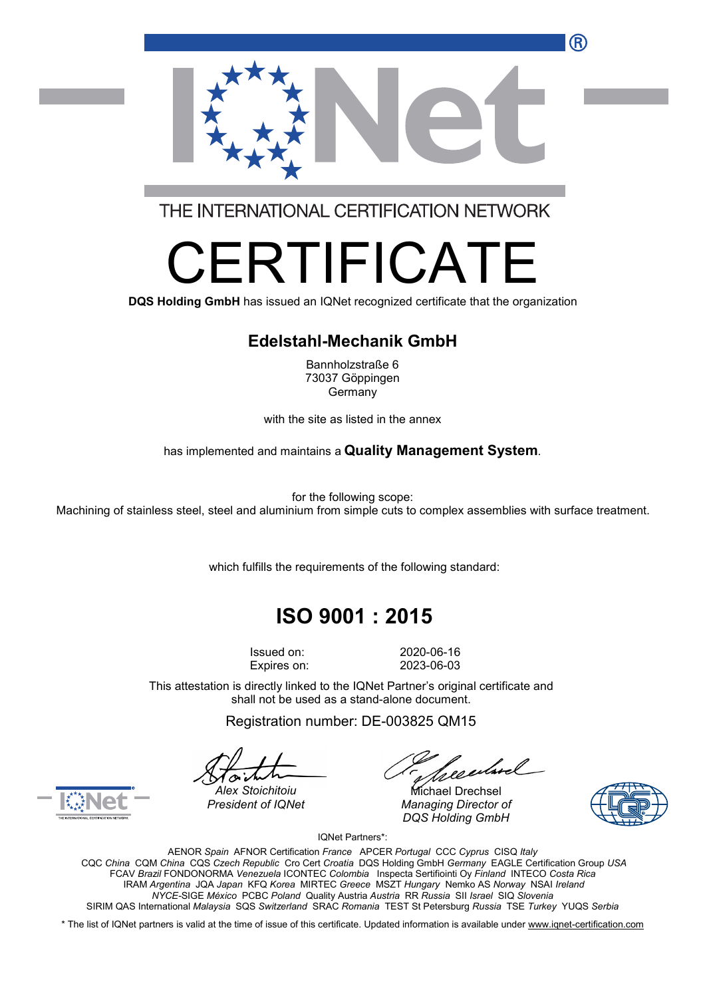

THE INTERNATIONAL CERTIFICATION NETWORK

# RTIFICA

**DQS Holding GmbH** has issued an IQNet recognized certificate that the organization

#### **Edelstahl-Mechanik GmbH**

Bannholzstraße 6 73037 Göppingen Germany

with the site as listed in the annex

has implemented and maintains a **Quality Management System**.

for the following scope:

Machining of stainless steel, steel and aluminium from simple cuts to complex assemblies with surface treatment.

which fulfills the requirements of the following standard:

## **ISO 9001 : 2015**

Issued on: 2020-06-16 Expires on: 2023-06-03

This attestation is directly linked to the IQNet Partner's original certificate and shall not be used as a stand-alone document.

Registration number: DE-003825 QM15

*President of IQNet Managing Director of DQS Holding GmbH*





*Alex Stoichitoiu* Michael Drechsel

IQNet Partners\*:

AENOR *Spain* AFNOR Certification *France* APCER *Portugal* CCC *Cyprus* CISQ *Italy* CQC *China* CQM *China* CQS *Czech Republic* Cro Cert *Croatia* DQS Holding GmbH *Germany* EAGLE Certification Group *USA* FCAV *Brazil* FONDONORMA *Venezuela* ICONTEC *Colombia* Inspecta Sertifiointi Oy *Finland* INTECO *Costa Rica* IRAM *Argentina* JQA *Japan* KFQ *Korea* MIRTEC *Greece* MSZT *Hungary* Nemko AS *Norway* NSAI *Ireland NYCE-*SIGE *México* PCBC *Poland* Quality Austria *Austria* RR *Russia* SII *Israel* SIQ *Slovenia* SIRIM QAS International *Malaysia* SQS *Switzerland* SRAC *Romania* TEST St Petersburg *Russia* TSE *Turkey* YUQS *Serbia*

\* The list of IQNet partners is valid at the time of issue of this certificate. Updated information is available under www.ignet-certification.com